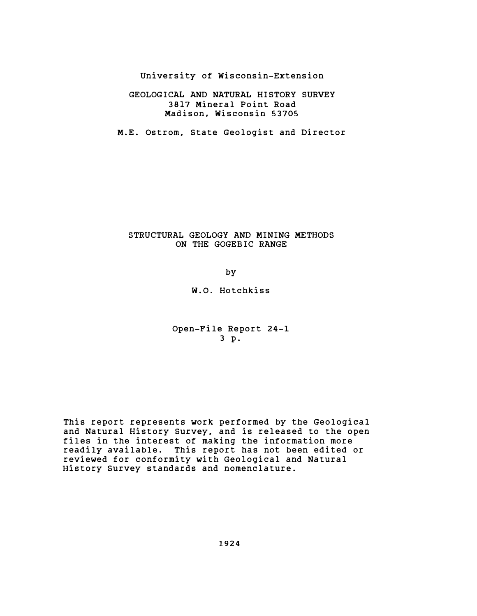University of Wisconsin-Extension

## GEOLOGICAL AND NATURAL HISTORY SURVEY 3817 Mineral Point Road Madison, Wisconsin 53705

M.E. Ostrom, State Geologist and Director

## STRUCTURAL GEOLOGY AND MINING METHODS ON THE GOGEBIC RANGE

by

W.O. Hotchkiss

Open-File Report 24-1 3 p.

This report represents work performed by the Geological and Natural History Survey, and is released to the open files in the interest of making the information more readily available. This report has not been edited or reviewed for conformity with Geological and Natural History Survey standards and nomenclature.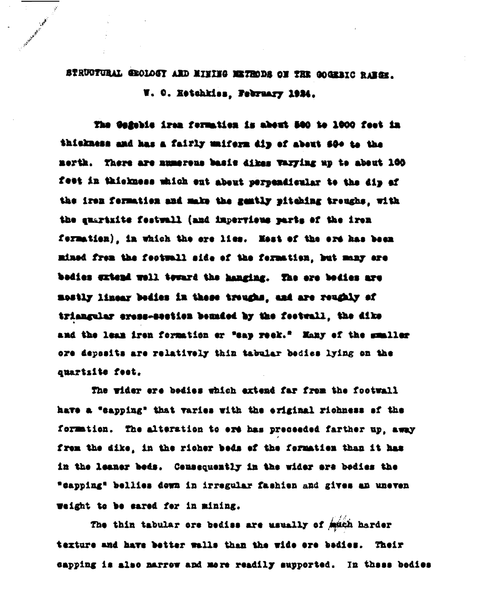STRUCTURAL GROLOGY ARD MINING METRODS ON THE GOGERIC RABGE. W. C. Ketchkiss, February 1924.

The Gafebis iram formation is about 500 to 1000 feet in thickness and has a fairly unifern dip of about 500 to the nerth. There are numerous basis dikes varying up to about 100 feet in thickness which ent about perpendicular to the dip of the iren formation and make the gently pitching trenghs, with the quartaits festuall (and imperviews parts of the iren fermation), in which the ere lies. Hest of the ere has been mined from the fectuall side of the formation, but many ere bedies extend well toward the hanging. The ere bedies are mostly linear bedies in these troughs, and are reughly af triangular eress-section bonaded by the footenil, the dike and the lean iron formation or "eap reek." Many of the mumbler ore deposits are relatively thin tabular bedies lying on the quartsite feet.

The wider ere bedies which extend far from the footwall have a "sapping" that varies with the eriginal richness of the formation. The alteration to ere has preceeded farther up, away from the dike, in the richer beds of the formation than it has in the leaner beds. Censequently in the wider are bedies the "capping" bellies dewn in irregular fashien and gives an uneven weight to be sared for in mining.

The thin tabular ore bedies are usually of mach harder texture and have better walls than the wide ere bedies. Their capping is also marrow and mere readily supported. In these bedies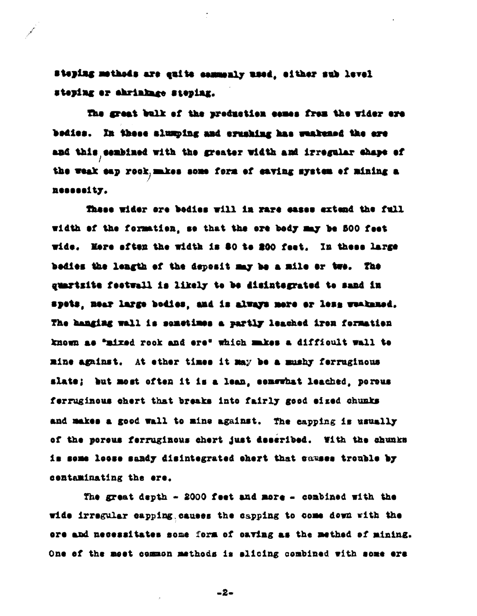Steping methods are quite commonly used, ofther sub level steping or abrinkage steping.

The great bulk of the preduction cemes frem the vider ore bedies. In these alumping and erusking has waakened the ere and this combined with the greater width and irregular chape of the weak eap rook, mikes some form of eaving mystem of mining a nessesity.

These wider ore bedies will in rare sasss extend the full width of the formation, se that the ore body may be 500 feet wide. More aften the width is \$0 to 200 feet. In these large bedies the leagth of the deposit may be a mile or two. The guartzite feetwall is likely to be disintegrated to sand in spets, mear large bodies, and is always mere or less weakamed. The banging wall is senstimes a partly leached iron formation known as "mixed rook and ere" which makes a difficult wall to mine against. At ether times it may be a mushy ferruginous slate; but most often it is a lean, conswhat leached, porous ferruginous chert that breaks into fairly good eized chunks and makes a good wall to mine against. The capping is usually of the poreus ferruginous chert just described. With the chunks is some losse sandy disintegrated chert that causes trouble by centaminating the ere.

The great depth  $-$  2000 feet and more  $-$  combined with the wide irregular capping causes the capping to come down with the ore and necessitates some form of caving as the method of mining. One of the most common methods is allcing combined with some ere

 $-2-$